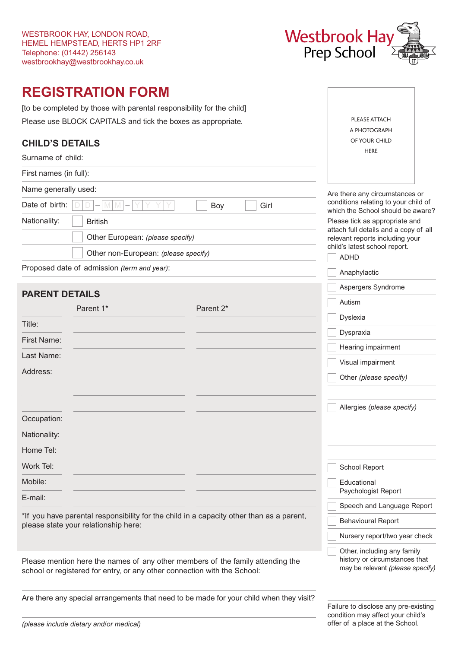

PLEASE ATTACH A PHOTOGRAPH OF YOUR CHILD **HERE** 

Aspergers Syndrome

# **REGISTRATION FORM**

[to be completed by those with parental responsibility for the child] Please use BLOCK CAPITALS and tick the boxes as appropriate.

## **CHILD'S DETAILS**

Surname of child:

First names (in full):

| Name generally used:                                  | Are there any circumstances or                                                                                    |  |
|-------------------------------------------------------|-------------------------------------------------------------------------------------------------------------------|--|
| Date of birth: $ D D - M M - Y Y Y Y $<br>Girl<br>Boy | conditions relating to your child of<br>which the School should be aware?                                         |  |
| Nationality:<br><b>British</b>                        | Please tick as appropriate and                                                                                    |  |
| Other European: (please specify)                      | attach full details and a copy of all<br>relevant reports including your<br>child's latest school report.<br>ADHD |  |
| Other non-European: (please specify)                  |                                                                                                                   |  |
| Proposed date of admission (term and year):           | Anaphylactic                                                                                                      |  |

## **PARENT DETAILS**

|              | Parent 1* | Parent 2* | Autism                     |
|--------------|-----------|-----------|----------------------------|
| Title:       |           |           | Dyslexia                   |
|              |           |           | Dyspraxia                  |
| First Name:  |           |           | Hearing impairment         |
| Last Name:   |           |           | Visual impairment          |
| Address:     |           |           | Other (please specify)     |
|              |           |           | Allergies (please specify) |
| Occupation:  |           |           |                            |
| Nationality: |           |           |                            |
| Home Tel:    |           |           |                            |
| Work Tel:    |           |           | School Report              |
| Mobile:      |           |           | Educational                |
| E-mail:      |           |           | Psychologist Report        |
|              |           |           | Speech and Language Report |

\*If you have parental responsibility for the child in a capacity other than as a parent, please state your relationship here:

Please mention here the names of any other members of the family attending the school or registered for entry, or any other connection with the School:

Are there any special arrangements that need to be made for your child when they visit?

Failure to disclose any pre-existing condition may affect your child's offer of a place at the School.

Behavioural Report

Nursery report/two year check

 Other, including any family history or circumstances that may be relevant *(please specify)*